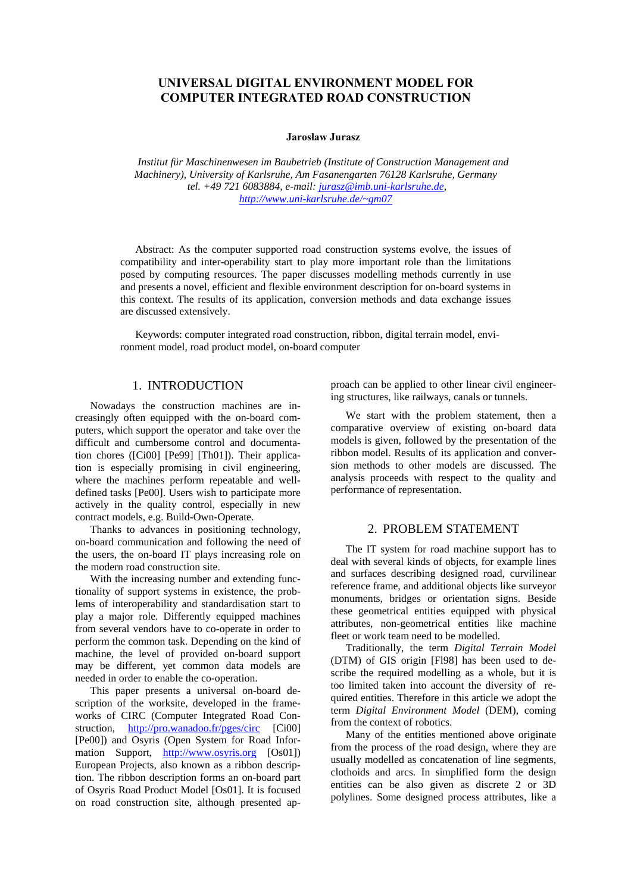# **UNIVERSAL DIGITAL ENVIRONMENT MODEL FOR COMPUTER INTEGRATED ROAD CONSTRUCTION**

#### **Jarosław Jurasz**

*Institut für Maschinenwesen im Baubetrieb (Institute of Construction Management and Machinery), University of Karlsruhe, Am Fasanengarten 76128 Karlsruhe, Germany tel. +49 721 6083884, e-mail: jurasz@imb.uni-karlsruhe.de, http://www.uni-karlsruhe.de/~gm07*

Abstract: As the computer supported road construction systems evolve, the issues of compatibility and inter-operability start to play more important role than the limitations posed by computing resources. The paper discusses modelling methods currently in use and presents a novel, efficient and flexible environment description for on-board systems in this context. The results of its application, conversion methods and data exchange issues are discussed extensively.

Keywords: computer integrated road construction, ribbon, digital terrain model, environment model, road product model, on-board computer

## 1. INTRODUCTION

Nowadays the construction machines are increasingly often equipped with the on-board computers, which support the operator and take over the difficult and cumbersome control and documentation chores ([Ci00] [Pe99] [Th01]). Their application is especially promising in civil engineering, where the machines perform repeatable and welldefined tasks [Pe00]. Users wish to participate more actively in the quality control, especially in new contract models, e.g. Build-Own-Operate.

Thanks to advances in positioning technology, on-board communication and following the need of the users, the on-board IT plays increasing role on the modern road construction site.

With the increasing number and extending functionality of support systems in existence, the problems of interoperability and standardisation start to play a major role. Differently equipped machines from several vendors have to co-operate in order to perform the common task. Depending on the kind of machine, the level of provided on-board support may be different, yet common data models are needed in order to enable the co-operation.

This paper presents a universal on-board description of the worksite, developed in the frameworks of CIRC (Computer Integrated Road Construction, http://pro.wanadoo.fr/pges/circ [Ci00] [Pe00]) and Osyris (Open System for Road Information Support, http://www.osyris.org [Os01]) European Projects, also known as a ribbon description. The ribbon description forms an on-board part of Osyris Road Product Model [Os01]. It is focused on road construction site, although presented approach can be applied to other linear civil engineering structures, like railways, canals or tunnels.

We start with the problem statement, then a comparative overview of existing on-board data models is given, followed by the presentation of the ribbon model. Results of its application and conversion methods to other models are discussed. The analysis proceeds with respect to the quality and performance of representation.

# 2. PROBLEM STATEMENT

The IT system for road machine support has to deal with several kinds of objects, for example lines and surfaces describing designed road, curvilinear reference frame, and additional objects like surveyor monuments, bridges or orientation signs. Beside these geometrical entities equipped with physical attributes, non-geometrical entities like machine fleet or work team need to be modelled.

Traditionally, the term *Digital Terrain Model* (DTM) of GIS origin [Fl98] has been used to describe the required modelling as a whole, but it is too limited taken into account the diversity of required entities. Therefore in this article we adopt the term *Digital Environment Model* (DEM), coming from the context of robotics.

Many of the entities mentioned above originate from the process of the road design, where they are usually modelled as concatenation of line segments, clothoids and arcs. In simplified form the design entities can be also given as discrete 2 or 3D polylines. Some designed process attributes, like a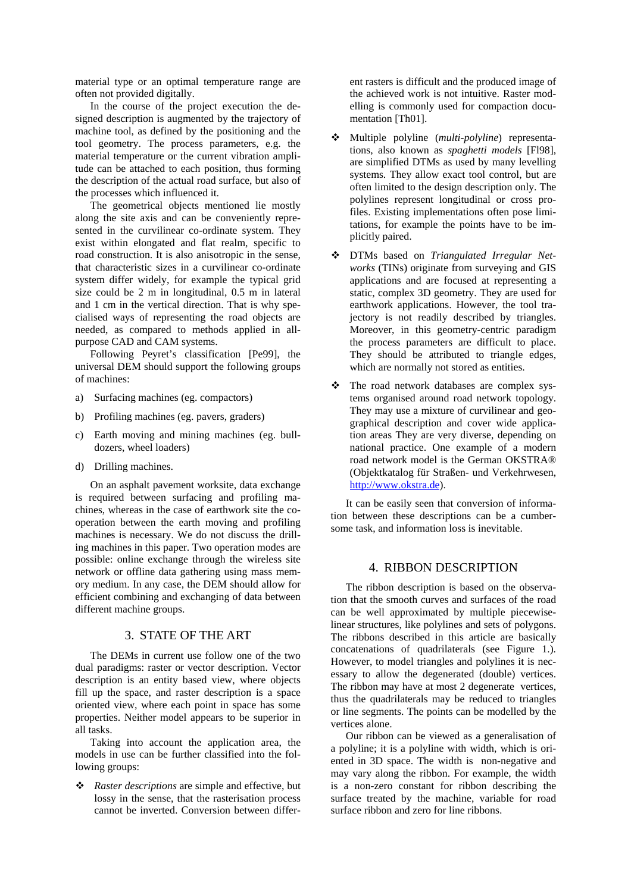material type or an optimal temperature range are often not provided digitally.

In the course of the project execution the designed description is augmented by the trajectory of machine tool, as defined by the positioning and the tool geometry. The process parameters, e.g. the material temperature or the current vibration amplitude can be attached to each position, thus forming the description of the actual road surface, but also of the processes which influenced it.

The geometrical objects mentioned lie mostly along the site axis and can be conveniently represented in the curvilinear co-ordinate system. They exist within elongated and flat realm, specific to road construction. It is also anisotropic in the sense, that characteristic sizes in a curvilinear co-ordinate system differ widely, for example the typical grid size could be 2 m in longitudinal, 0.5 m in lateral and 1 cm in the vertical direction. That is why specialised ways of representing the road objects are needed, as compared to methods applied in allpurpose CAD and CAM systems.

Following Peyret's classification [Pe99], the universal DEM should support the following groups of machines:

- a) Surfacing machines (eg. compactors)
- b) Profiling machines (eg. pavers, graders)
- c) Earth moving and mining machines (eg. bulldozers, wheel loaders)
- d) Drilling machines.

On an asphalt pavement worksite, data exchange is required between surfacing and profiling machines, whereas in the case of earthwork site the cooperation between the earth moving and profiling machines is necessary. We do not discuss the drilling machines in this paper. Two operation modes are possible: online exchange through the wireless site network or offline data gathering using mass memory medium. In any case, the DEM should allow for efficient combining and exchanging of data between different machine groups.

# 3. STATE OF THE ART

The DEMs in current use follow one of the two dual paradigms: raster or vector description. Vector description is an entity based view, where objects fill up the space, and raster description is a space oriented view, where each point in space has some properties. Neither model appears to be superior in all tasks.

Taking into account the application area, the models in use can be further classified into the following groups:

 *Raster descriptions* are simple and effective, but lossy in the sense, that the rasterisation process cannot be inverted. Conversion between different rasters is difficult and the produced image of the achieved work is not intuitive. Raster modelling is commonly used for compaction documentation [Th01].

- Multiple polyline (*multi-polyline*) representations, also known as *spaghetti models* [Fl98], are simplified DTMs as used by many levelling systems. They allow exact tool control, but are often limited to the design description only. The polylines represent longitudinal or cross profiles. Existing implementations often pose limitations, for example the points have to be implicitly paired.
- DTMs based on *Triangulated Irregular Networks* (TINs) originate from surveying and GIS applications and are focused at representing a static, complex 3D geometry. They are used for earthwork applications. However, the tool trajectory is not readily described by triangles. Moreover, in this geometry-centric paradigm the process parameters are difficult to place. They should be attributed to triangle edges, which are normally not stored as entities.
- \* The road network databases are complex systems organised around road network topology. They may use a mixture of curvilinear and geographical description and cover wide application areas They are very diverse, depending on national practice. One example of a modern road network model is the German OKSTRA® (Objektkatalog für Straßen- und Verkehrwesen, http://www.okstra.de).

It can be easily seen that conversion of information between these descriptions can be a cumbersome task, and information loss is inevitable.

## 4. RIBBON DESCRIPTION

The ribbon description is based on the observation that the smooth curves and surfaces of the road can be well approximated by multiple piecewiselinear structures, like polylines and sets of polygons. The ribbons described in this article are basically concatenations of quadrilaterals (see Figure 1.). However, to model triangles and polylines it is necessary to allow the degenerated (double) vertices. The ribbon may have at most 2 degenerate vertices, thus the quadrilaterals may be reduced to triangles or line segments. The points can be modelled by the vertices alone.

Our ribbon can be viewed as a generalisation of a polyline; it is a polyline with width, which is oriented in 3D space. The width is non-negative and may vary along the ribbon. For example, the width is a non-zero constant for ribbon describing the surface treated by the machine, variable for road surface ribbon and zero for line ribbons.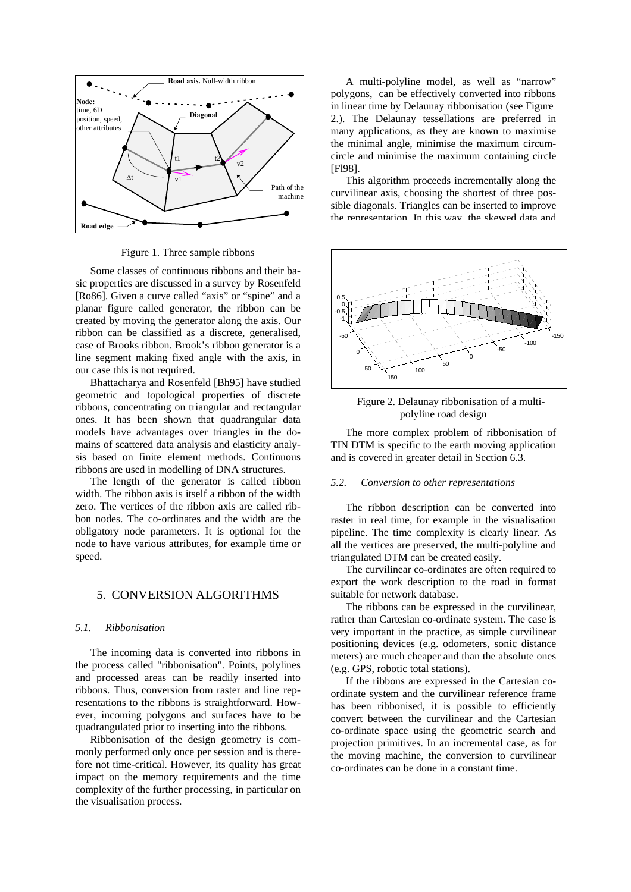

Figure 1. Three sample ribbons

Some classes of continuous ribbons and their basic properties are discussed in a survey by Rosenfeld [Ro86]. Given a curve called "axis" or "spine" and a planar figure called generator, the ribbon can be created by moving the generator along the axis. Our ribbon can be classified as a discrete, generalised, case of Brooks ribbon. Brook's ribbon generator is a line segment making fixed angle with the axis, in our case this is not required.

Bhattacharya and Rosenfeld [Bh95] have studied geometric and topological properties of discrete ribbons, concentrating on triangular and rectangular ones. It has been shown that quadrangular data models have advantages over triangles in the domains of scattered data analysis and elasticity analysis based on finite element methods. Continuous ribbons are used in modelling of DNA structures.

The length of the generator is called ribbon width. The ribbon axis is itself a ribbon of the width zero. The vertices of the ribbon axis are called ribbon nodes. The co-ordinates and the width are the obligatory node parameters. It is optional for the node to have various attributes, for example time or speed.

## 5. CONVERSION ALGORITHMS

#### *5.1. Ribbonisation*

The incoming data is converted into ribbons in the process called "ribbonisation". Points, polylines and processed areas can be readily inserted into ribbons. Thus, conversion from raster and line representations to the ribbons is straightforward. However, incoming polygons and surfaces have to be quadrangulated prior to inserting into the ribbons.

Ribbonisation of the design geometry is commonly performed only once per session and is therefore not time-critical. However, its quality has great impact on the memory requirements and the time complexity of the further processing, in particular on the visualisation process.

A multi-polyline model, as well as "narrow" polygons, can be effectively converted into ribbons in linear time by Delaunay ribbonisation (see Figure 2.). The Delaunay tessellations are preferred in many applications, as they are known to maximise the minimal angle, minimise the maximum circumcircle and minimise the maximum containing circle [F<sub>198]</sub>.

This algorithm proceeds incrementally along the curvilinear axis, choosing the shortest of three possible diagonals. Triangles can be inserted to improve the representation. In this way, the skewed data and





The more complex problem of ribbonisation of TIN DTM is specific to the earth moving application and is covered in greater detail in Section 6.3.

### *5.2. Conversion to other representations*

The ribbon description can be converted into raster in real time, for example in the visualisation pipeline. The time complexity is clearly linear. As all the vertices are preserved, the multi-polyline and triangulated DTM can be created easily.

The curvilinear co-ordinates are often required to export the work description to the road in format suitable for network database.

The ribbons can be expressed in the curvilinear, rather than Cartesian co-ordinate system. The case is very important in the practice, as simple curvilinear positioning devices (e.g. odometers, sonic distance meters) are much cheaper and than the absolute ones (e.g. GPS, robotic total stations).

If the ribbons are expressed in the Cartesian coordinate system and the curvilinear reference frame has been ribbonised, it is possible to efficiently convert between the curvilinear and the Cartesian co-ordinate space using the geometric search and projection primitives. In an incremental case, as for the moving machine, the conversion to curvilinear co-ordinates can be done in a constant time.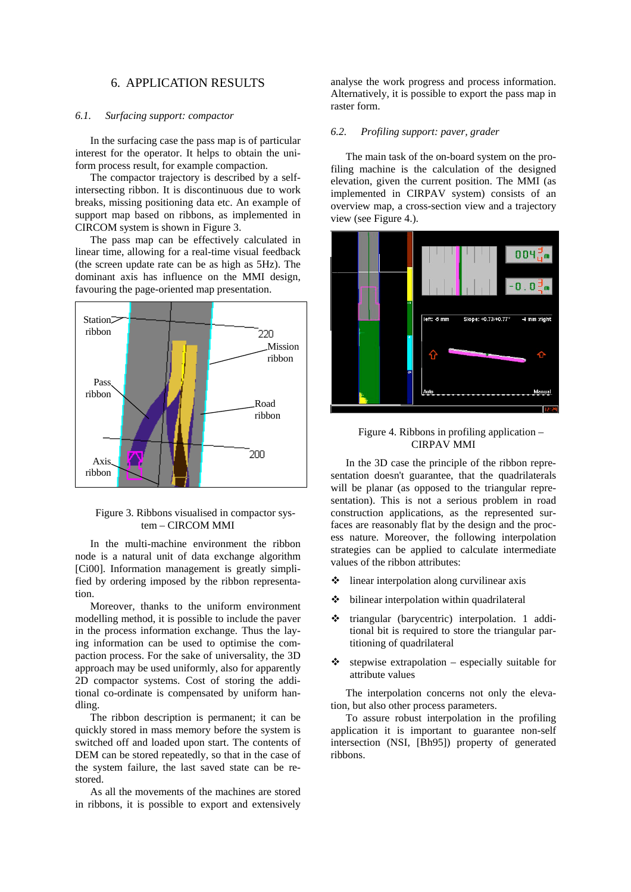### 6. APPLICATION RESULTS

#### *6.1. Surfacing support: compactor*

In the surfacing case the pass map is of particular interest for the operator. It helps to obtain the uniform process result, for example compaction.

The compactor trajectory is described by a selfintersecting ribbon. It is discontinuous due to work breaks, missing positioning data etc. An example of support map based on ribbons, as implemented in CIRCOM system is shown in Figure 3.

The pass map can be effectively calculated in linear time, allowing for a real-time visual feedback (the screen update rate can be as high as 5Hz). The dominant axis has influence on the MMI design, favouring the page-oriented map presentation.



#### Figure 3. Ribbons visualised in compactor system – CIRCOM MMI

In the multi-machine environment the ribbon node is a natural unit of data exchange algorithm [Ci00]. Information management is greatly simplified by ordering imposed by the ribbon representation.

Moreover, thanks to the uniform environment modelling method, it is possible to include the paver in the process information exchange. Thus the laying information can be used to optimise the compaction process. For the sake of universality, the 3D approach may be used uniformly, also for apparently 2D compactor systems. Cost of storing the additional co-ordinate is compensated by uniform handling.

The ribbon description is permanent; it can be quickly stored in mass memory before the system is switched off and loaded upon start. The contents of DEM can be stored repeatedly, so that in the case of the system failure, the last saved state can be restored.

As all the movements of the machines are stored in ribbons, it is possible to export and extensively

analyse the work progress and process information. Alternatively, it is possible to export the pass map in raster form.

#### *6.2. Profiling support: paver, grader*

The main task of the on-board system on the profiling machine is the calculation of the designed elevation, given the current position. The MMI (as implemented in CIRPAV system) consists of an overview map, a cross-section view and a trajectory view (see Figure 4.).



#### Figure 4. Ribbons in profiling application – CIRPAV MMI

In the 3D case the principle of the ribbon representation doesn't guarantee, that the quadrilaterals will be planar (as opposed to the triangular representation). This is not a serious problem in road construction applications, as the represented surfaces are reasonably flat by the design and the process nature. Moreover, the following interpolation strategies can be applied to calculate intermediate values of the ribbon attributes:

- $\triangleq$  linear interpolation along curvilinear axis
- $\div$  bilinear interpolation within quadrilateral
- triangular (barycentric) interpolation. 1 additional bit is required to store the triangular partitioning of quadrilateral
- $\triangle$  stepwise extrapolation especially suitable for attribute values

The interpolation concerns not only the elevation, but also other process parameters.

To assure robust interpolation in the profiling application it is important to guarantee non-self intersection (NSI, [Bh95]) property of generated ribbons.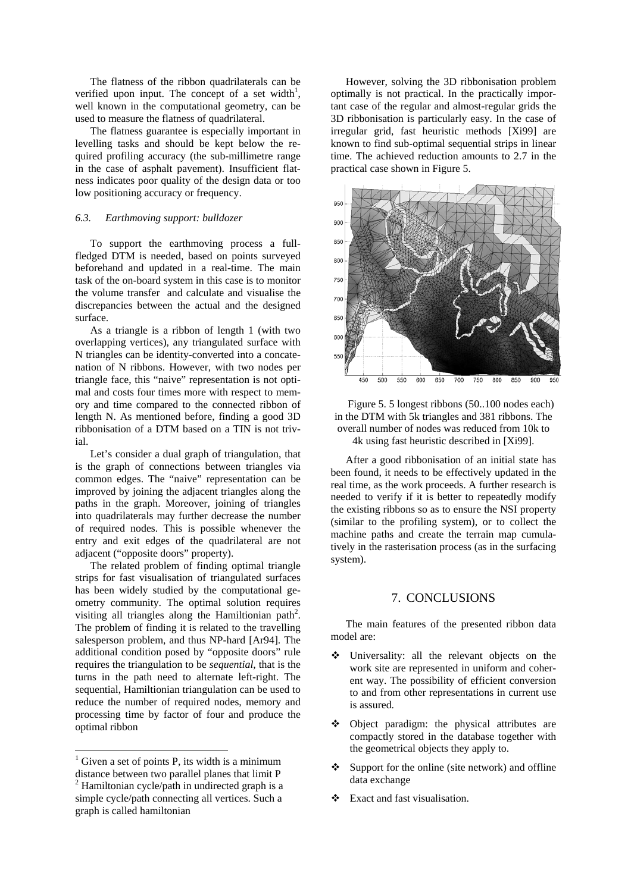The flatness of the ribbon quadrilaterals can be verified upon input. The concept of a set width<sup>1</sup>, well known in the computational geometry, can be used to measure the flatness of quadrilateral.

The flatness guarantee is especially important in levelling tasks and should be kept below the required profiling accuracy (the sub-millimetre range in the case of asphalt pavement). Insufficient flatness indicates poor quality of the design data or too low positioning accuracy or frequency.

## *6.3. Earthmoving support: bulldozer*

To support the earthmoving process a fullfledged DTM is needed, based on points surveyed beforehand and updated in a real-time. The main task of the on-board system in this case is to monitor the volume transfer and calculate and visualise the discrepancies between the actual and the designed surface.

As a triangle is a ribbon of length 1 (with two overlapping vertices), any triangulated surface with N triangles can be identity-converted into a concatenation of N ribbons. However, with two nodes per triangle face, this "naive" representation is not optimal and costs four times more with respect to memory and time compared to the connected ribbon of length N. As mentioned before, finding a good 3D ribbonisation of a DTM based on a TIN is not trivial.

Let's consider a dual graph of triangulation, that is the graph of connections between triangles via common edges. The "naive" representation can be improved by joining the adjacent triangles along the paths in the graph. Moreover, joining of triangles into quadrilaterals may further decrease the number of required nodes. This is possible whenever the entry and exit edges of the quadrilateral are not adjacent ("opposite doors" property).

The related problem of finding optimal triangle strips for fast visualisation of triangulated surfaces has been widely studied by the computational geometry community. The optimal solution requires visiting all triangles along the Hamiltionian path<sup>2</sup>. The problem of finding it is related to the travelling salesperson problem, and thus NP-hard [Ar94]. The additional condition posed by "opposite doors" rule requires the triangulation to be *sequential*, that is the turns in the path need to alternate left-right. The sequential, Hamiltionian triangulation can be used to reduce the number of required nodes, memory and processing time by factor of four and produce the optimal ribbon

 $\overline{a}$ 

However, solving the 3D ribbonisation problem optimally is not practical. In the practically important case of the regular and almost-regular grids the 3D ribbonisation is particularly easy. In the case of irregular grid, fast heuristic methods [Xi99] are known to find sub-optimal sequential strips in linear time. The achieved reduction amounts to 2.7 in the practical case shown in Figure 5.





After a good ribbonisation of an initial state has been found, it needs to be effectively updated in the real time, as the work proceeds. A further research is needed to verify if it is better to repeatedly modify the existing ribbons so as to ensure the NSI property (similar to the profiling system), or to collect the machine paths and create the terrain map cumulatively in the rasterisation process (as in the surfacing system).

### 7. CONCLUSIONS

The main features of the presented ribbon data model are:

- Universality: all the relevant objects on the work site are represented in uniform and coherent way. The possibility of efficient conversion to and from other representations in current use is assured.
- Object paradigm: the physical attributes are compactly stored in the database together with the geometrical objects they apply to.
- Support for the online (site network) and offline data exchange
- $\div$  Exact and fast visualisation.

 $<sup>1</sup>$  Given a set of points P, its width is a minimum</sup> distance between two parallel planes that limit P

 $2$  Hamiltonian cycle/path in undirected graph is a simple cycle/path connecting all vertices. Such a graph is called hamiltonian